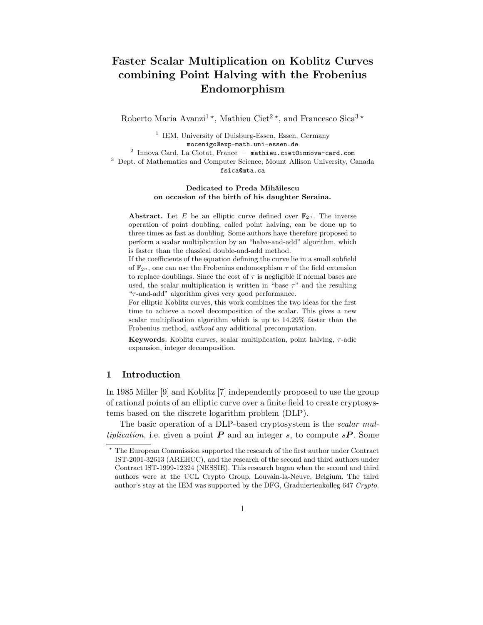# Faster Scalar Multiplication on Koblitz Curves combining Point Halving with the Frobenius Endomorphism

Roberto Maria Avanzi<sup>1</sup><sup>\*</sup>, Mathieu Ciet<sup>2</sup><sup>\*</sup>, and Francesco Sica<sup>3</sup><sup>\*</sup>

<sup>1</sup> IEM, University of Duisburg-Essen, Essen, Germany mocenigo@exp-math.uni-essen.de

 $^2$  Innova Card, La Ciotat, France - mathieu.ciet@innova-card.com

<sup>3</sup> Dept. of Mathematics and Computer Science, Mount Allison University, Canada fsica@mta.ca

#### Dedicated to Preda Mihăilescu on occasion of the birth of his daughter Seraina.

**Abstract.** Let E be an elliptic curve defined over  $\mathbb{F}_{2^n}$ . The inverse operation of point doubling, called point halving, can be done up to three times as fast as doubling. Some authors have therefore proposed to perform a scalar multiplication by an "halve-and-add" algorithm, which is faster than the classical double-and-add method.

If the coefficients of the equation defining the curve lie in a small subfield of  $\mathbb{F}_{2^n}$ , one can use the Frobenius endomorphism  $\tau$  of the field extension to replace doublings. Since the cost of  $\tau$  is negligible if normal bases are used, the scalar multiplication is written in "base  $\tau$ " and the resulting "τ -and-add" algorithm gives very good performance.

For elliptic Koblitz curves, this work combines the two ideas for the first time to achieve a novel decomposition of the scalar. This gives a new scalar multiplication algorithm which is up to 14.29% faster than the Frobenius method, without any additional precomputation.

Keywords. Koblitz curves, scalar multiplication, point halving,  $\tau$ -adic expansion, integer decomposition.

## 1 Introduction

In 1985 Miller [9] and Koblitz [7] independently proposed to use the group of rational points of an elliptic curve over a finite field to create cryptosystems based on the discrete logarithm problem (DLP).

The basic operation of a DLP-based cryptosystem is the scalar multiplication, i.e. given a point  $P$  and an integer s, to compute  $s\mathbf{P}$ . Some

<sup>⋆</sup> The European Commission supported the research of the first author under Contract IST-2001-32613 (AREHCC), and the research of the second and third authors under Contract IST-1999-12324 (NESSIE). This research began when the second and third authors were at the UCL Crypto Group, Louvain-la-Neuve, Belgium. The third author's stay at the IEM was supported by the DFG, Graduiertenkolleg 647 Crypto.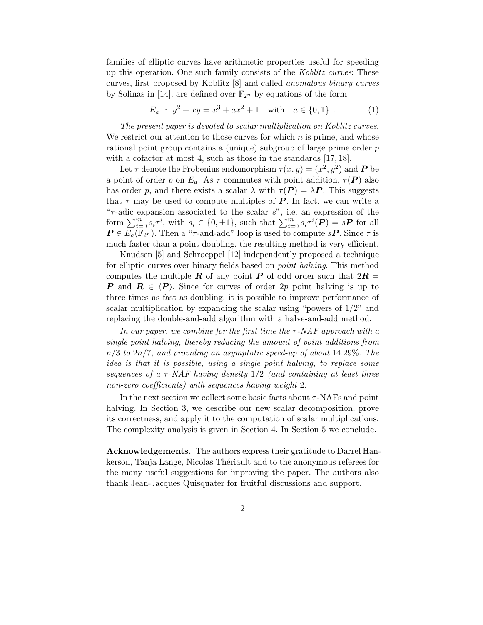families of elliptic curves have arithmetic properties useful for speeding up this operation. One such family consists of the Koblitz curves: These curves, first proposed by Koblitz [8] and called anomalous binary curves by Solinas in [14], are defined over  $\mathbb{F}_{2^n}$  by equations of the form

$$
E_a : y^2 + xy = x^3 + ax^2 + 1 \quad \text{with} \quad a \in \{0, 1\} \tag{1}
$$

The present paper is devoted to scalar multiplication on Koblitz curves. We restrict our attention to those curves for which  $n$  is prime, and whose rational point group contains a (unique) subgroup of large prime order p with a cofactor at most 4, such as those in the standards [17, 18].

Let  $\tau$  denote the Frobenius endomorphism  $\tau(x, y) = (x^2, y^2)$  and **P** be a point of order p on  $E_a$ . As  $\tau$  commutes with point addition,  $\tau(P)$  also has order p, and there exists a scalar  $\lambda$  with  $\tau(P) = \lambda P$ . This suggests that  $\tau$  may be used to compute multiples of **P**. In fact, we can write a " $\tau$ -adic expansion associated to the scalar s", i.e. an expression of the form  $\sum_{i=0}^{m} s_i \tau^i$ , with  $s_i \in \{0, \pm 1\}$ , such that  $\sum_{i=0}^{m} s_i \tau^i(P) = sP$  for all  $P \in E_a(\mathbb{F}_{2^n})$ . Then a " $\tau$ -and-add" loop is used to compute  $sP$ . Since  $\tau$  is much faster than a point doubling, the resulting method is very efficient.

Knudsen [5] and Schroeppel [12] independently proposed a technique for elliptic curves over binary fields based on point halving. This method computes the multiple **R** of any point **P** of odd order such that  $2R =$ **P** and  $\mathbf{R} \in \langle \mathbf{P} \rangle$ . Since for curves of order 2p point halving is up to three times as fast as doubling, it is possible to improve performance of scalar multiplication by expanding the scalar using "powers of  $1/2$ " and replacing the double-and-add algorithm with a halve-and-add method.

In our paper, we combine for the first time the  $\tau$ -NAF approach with a single point halving, thereby reducing the amount of point additions from  $n/3$  to  $2n/7$ , and providing an asymptotic speed-up of about 14.29%. The idea is that it is possible, using a single point halving, to replace some sequences of a  $\tau$ -NAF having density  $1/2$  (and containing at least three non-zero coefficients) with sequences having weight 2.

In the next section we collect some basic facts about  $\tau$ -NAFs and point halving. In Section 3, we describe our new scalar decomposition, prove its correctness, and apply it to the computation of scalar multiplications. The complexity analysis is given in Section 4. In Section 5 we conclude.

Acknowledgements. The authors express their gratitude to Darrel Hankerson, Tanja Lange, Nicolas Thériault and to the anonymous referees for the many useful suggestions for improving the paper. The authors also thank Jean-Jacques Quisquater for fruitful discussions and support.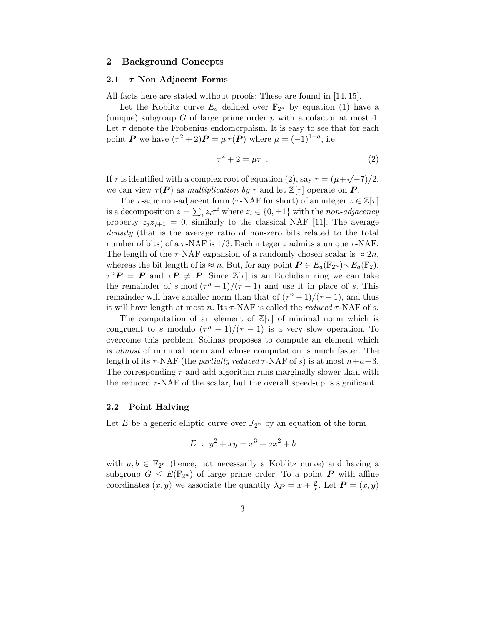## 2 Background Concepts

#### 2.1  $\tau$  Non Adjacent Forms

All facts here are stated without proofs: These are found in [14, 15].

Let the Koblitz curve  $E_a$  defined over  $\mathbb{F}_{2^n}$  by equation (1) have a (unique) subgroup  $G$  of large prime order  $p$  with a cofactor at most 4. Let  $\tau$  denote the Frobenius endomorphism. It is easy to see that for each point **P** we have  $(\tau^2 + 2)\mathbf{P} = \mu \tau(\mathbf{P})$  where  $\mu = (-1)^{1-a}$ , i.e.

$$
\tau^2 + 2 = \mu \tau \tag{2}
$$

If  $\tau$  is identified with a complex root of equation (2), say  $\tau = (\mu + \sqrt{-7})/2$ , we can view  $\tau(P)$  as multiplication by  $\tau$  and let  $\mathbb{Z}[\tau]$  operate on P.

The  $\tau$ -adic non-adjacent form ( $\tau$ -NAF for short) of an integer  $z \in \mathbb{Z}[\tau]$ is a decomposition  $z = \sum_i z_i \tau^i$  where  $z_i \in \{0, \pm 1\}$  with the non-adjacency property  $z_iz_{i+1} = 0$ , similarly to the classical NAF [11]. The average density (that is the average ratio of non-zero bits related to the total number of bits) of a  $\tau$ -NAF is 1/3. Each integer z admits a unique  $\tau$ -NAF. The length of the  $\tau$ -NAF expansion of a randomly chosen scalar is  $\approx 2n$ , whereas the bit length of is  $\approx n$ . But, for any point  $P \in E_a(\mathbb{F}_{2^n}) \setminus E_a(\mathbb{F}_2)$ ,  $\tau^n P = P$  and  $\tau P \neq P$ . Since  $\mathbb{Z}[\tau]$  is an Euclidian ring we can take the remainder of s mod  $(\tau^n - 1)/(\tau - 1)$  and use it in place of s. This remainder will have smaller norm than that of  $(\tau^n - 1)/(\tau - 1)$ , and thus it will have length at most n. Its  $\tau$ -NAF is called the *reduced*  $\tau$ -NAF of s.

The computation of an element of  $\mathbb{Z}[\tau]$  of minimal norm which is congruent to s modulo  $(\tau^n - 1)/(\tau - 1)$  is a very slow operation. To overcome this problem, Solinas proposes to compute an element which is almost of minimal norm and whose computation is much faster. The length of its  $\tau$ -NAF (the *partially reduced*  $\tau$ -NAF of s) is at most  $n+a+3$ . The corresponding  $\tau$ -and-add algorithm runs marginally slower than with the reduced  $\tau$ -NAF of the scalar, but the overall speed-up is significant.

#### 2.2 Point Halving

Let E be a generic elliptic curve over  $\mathbb{F}_{2^n}$  by an equation of the form

$$
E : y^2 + xy = x^3 + ax^2 + b
$$

with  $a, b \in \mathbb{F}_{2^n}$  (hence, not necessarily a Koblitz curve) and having a subgroup  $G \leq E(\mathbb{F}_{2^n})$  of large prime order. To a point P with affine coordinates  $(x, y)$  we associate the quantity  $\lambda_{\mathbf{P}} = x + \frac{y}{x}$  $\frac{y}{x}$ . Let  $\boldsymbol{P} = (x, y)$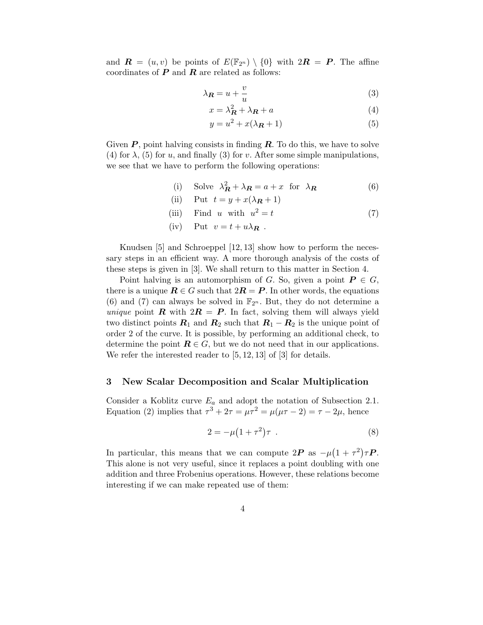and  $\mathbf{R} = (u, v)$  be points of  $E(\mathbb{F}_{2^n}) \setminus \{0\}$  with  $2\mathbf{R} = \mathbf{P}$ . The affine coordinates of  $P$  and  $R$  are related as follows:

$$
\lambda_R = u + \frac{v}{u} \tag{3}
$$

$$
x = \lambda_R^2 + \lambda_R + a \tag{4}
$$

$$
y = u^2 + x(\lambda \mathbf{R} + 1) \tag{5}
$$

Given  $P$ , point halving consists in finding  $R$ . To do this, we have to solve (4) for  $\lambda$ , (5) for u, and finally (3) for v. After some simple manipulations, we see that we have to perform the following operations:

- (i) Solve  $\lambda_R^2 + \lambda_R = a + x$  for  $\lambda_R$  (6)
- (ii) Put  $t = y + x(\lambda_R + 1)$
- (iii) Find u with  $u^2 = t$  (7)
- (iv) Put  $v = t + u\lambda_{\mathbf{R}}$ .

Knudsen [5] and Schroeppel [12, 13] show how to perform the necessary steps in an efficient way. A more thorough analysis of the costs of these steps is given in [3]. We shall return to this matter in Section 4.

Point halving is an automorphism of G. So, given a point  $P \in G$ , there is a unique  $\mathbf{R} \in G$  such that  $2\mathbf{R} = \mathbf{P}$ . In other words, the equations (6) and (7) can always be solved in  $\mathbb{F}_{2n}$ . But, they do not determine a unique point **R** with  $2R = P$ . In fact, solving them will always yield two distinct points  $R_1$  and  $R_2$  such that  $R_1 - R_2$  is the unique point of order 2 of the curve. It is possible, by performing an additional check, to determine the point  $\mathbf{R} \in G$ , but we do not need that in our applications. We refer the interested reader to  $[5, 12, 13]$  of  $[3]$  for details.

#### 3 New Scalar Decomposition and Scalar Multiplication

Consider a Koblitz curve  $E_a$  and adopt the notation of Subsection 2.1. Equation (2) implies that  $\tau^3 + 2\tau = \mu\tau^2 = \mu(\mu\tau - 2) = \tau - 2\mu$ , hence

$$
2 = -\mu \left(1 + \tau^2\right)\tau \tag{8}
$$

In particular, this means that we can compute  $2\boldsymbol{P}$  as  $-\mu(1+\tau^2)\tau\boldsymbol{P}$ . This alone is not very useful, since it replaces a point doubling with one addition and three Frobenius operations. However, these relations become interesting if we can make repeated use of them: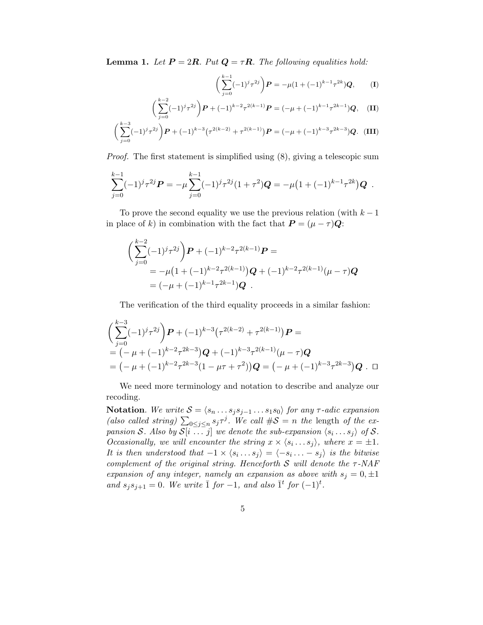**Lemma 1.** Let  $P = 2R$ . Put  $Q = \tau R$ . The following equalities hold:

$$
\left(\sum_{j=0}^{k-1}(-1)^j\tau^{2j}\right)\boldsymbol{P} = -\mu(1+(-1)^{k-1}\tau^{2k})\boldsymbol{Q},\qquad(\mathbf{I})
$$

$$
\left(\sum_{j=0}^{k-2}(-1)^j\tau^{2j}\right)\boldsymbol{P}+(-1)^{k-2}\tau^{2(k-1)}\boldsymbol{P}=(-\mu+(-1)^{k-1}\tau^{2k-1})\boldsymbol{Q},\quad(\mathbf{II})
$$

$$
\left(\sum_{j=0}^{k-3}(-1)^j\tau^{2j}\right)\boldsymbol{P}+(-1)^{k-3}\left(\tau^{2(k-2)}+\tau^{2(k-1)}\right)\boldsymbol{P}=(-\mu+(-1)^{k-3}\tau^{2k-3})\boldsymbol{Q}.\quad\text{(III)}
$$

Proof. The first statement is simplified using (8), giving a telescopic sum

$$
\sum_{j=0}^{k-1} (-1)^j \tau^{2j} \mathbf{P} = -\mu \sum_{j=0}^{k-1} (-1)^j \tau^{2j} (1+\tau^2) \mathbf{Q} = -\mu (1+(-1)^{k-1} \tau^{2k}) \mathbf{Q}.
$$

To prove the second equality we use the previous relation (with  $k-1$ ) in place of k) in combination with the fact that  $\mathbf{P} = (\mu - \tau)\mathbf{Q}$ :

$$
\left(\sum_{j=0}^{k-2}(-1)^j\tau^{2j}\right)\boldsymbol{P}+(-1)^{k-2}\tau^{2(k-1)}\boldsymbol{P}=
$$
  
=-\mu\left(1+(-1)^{k-2}\tau^{2(k-1)}\right)\boldsymbol{Q}+(-1)^{k-2}\tau^{2(k-1)}(\mu-\tau)\boldsymbol{Q}  
=(-\mu+(-1)^{k-1}\tau^{2k-1})\boldsymbol{Q} .

The verification of the third equality proceeds in a similar fashion:

$$
\begin{aligned} &\left(\sum_{j=0}^{k-3}(-1)^j\tau^{2j}\right)\boldsymbol{P}+(-1)^{k-3}\left(\tau^{2(k-2)}+\tau^{2(k-1)}\right)\boldsymbol{P} = \\ &= (-\mu+(-1)^{k-2}\tau^{2k-3})\boldsymbol{Q}+(-1)^{k-3}\tau^{2(k-1)}(\mu-\tau)\boldsymbol{Q} \\ &= (-\mu+(-1)^{k-2}\tau^{2k-3}(1-\mu\tau+\tau^2))\boldsymbol{Q} = (-\mu+(-1)^{k-3}\tau^{2k-3})\boldsymbol{Q} \ . \ \ \Box \end{aligned}
$$

We need more terminology and notation to describe and analyze our recoding.

**Notation.** We write  $S = \langle s_n \dots s_j s_{j-1} \dots s_1 s_0 \rangle$  for any  $\tau$ -adic expansion (also called string)  $\sum_{0 \leq j \leq n} s_j \tau^j$ . We call  $\#\mathcal{S} = n$  the length of the expansion S. Also by  $S[i \dots j]$  we denote the sub-expansion  $\langle s_i \dots s_j \rangle$  of S. *Occasionally, we will encounter the string*  $x \times \langle s_i \dots s_j \rangle$ *, where*  $x = \pm 1$ *.* It is then understood that  $-1 \times \langle s_i \dots s_j \rangle = \langle -s_i \dots - s_j \rangle$  is the bitwise complement of the original string. Henceforth  $S$  will denote the  $\tau$ -NAF expansion of any integer, namely an expansion as above with  $s_j = 0, \pm 1$ and  $s_j s_{j+1} = 0$ . We write  $\overline{1}$  for  $-1$ , and also  $\overline{1}^t$  for  $(-1)^t$ .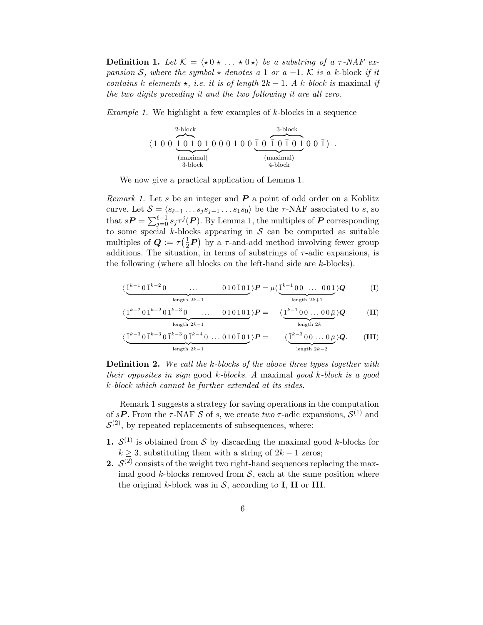**Definition 1.** Let  $\mathcal{K} = \langle *0 * ... * 0 * \rangle$  be a substring of a  $\tau$ -NAF expansion S, where the symbol  $\star$  denotes a 1 or a -1. K is a k-block if it contains k elements  $\star$ , i.e. it is of length  $2k - 1$ . A k-block is maximal if the two digits preceding it and the two following it are all zero.

Example 1. We highlight a few examples of  $k$ -blocks in a sequence

$$
\langle \, 1 \ 0 \ 0 \ \overbrace{ \underbrace{ \, 1 \ 0 \ 1 \ 0 \ 1 }_{ \ \, (maximal) } }^{2\text{-block}} \, 0 \ 0 \ 0 \ 1 \ 0 \ 0 \ \overbrace{ \, 1 \ 0 \ \ \overbrace{ \, 1 \ 0 \ \ \overbrace{ \, 0 \ 1 \ 0 \ 1 } }^{3\text{-block}} \, 0 \ 0 \ \overbrace{ \, 1 } \rangle \ \, .
$$

We now give a practical application of Lemma 1.

*Remark 1.* Let s be an integer and  $P$  a point of odd order on a Koblitz curve. Let  $S = \langle s_{\ell-1} \ldots s_j s_{j-1} \ldots s_1 s_0 \rangle$  be the  $\tau$ -NAF associated to s, so that  $s\boldsymbol{P} = \sum_{j=0}^{\ell-1} s_j \tau^j(\boldsymbol{P})$ . By Lemma 1, the multiples of  $\boldsymbol{P}$  corresponding to some special k-blocks appearing in  $S$  can be computed as suitable multiples of  $Q := \tau(\frac{1}{2}P)$  by a  $\tau$ -and-add method involving fewer group additions. The situation, in terms of substrings of  $\tau$ -adic expansions, is the following (where all blocks on the left-hand side are k-blocks).

$$
\langle \underbrace{\overline{1}^{k-1} \, 0 \, \overline{1}^{k-2} \, 0}_{\text{length } 2k-1} \dots \underbrace{0 \, 1 \, 0 \, \overline{1} \, 0 \, 1}_{\text{length } 2k+1} \rangle \mathbf{P} = \bar{\mu} \langle \underbrace{\overline{1}^{k-1} \, 0 \, 0 \, \dots \, 0 \, 0 \, 1}_{\text{length } 2k+1} \rangle \mathbf{Q} \tag{I}
$$

$$
\langle \underbrace{\overline{1}^{k-2} \, 0 \, \overline{1}^{k-2} \, 0 \, \overline{1}^{k-3} \, 0}_{\text{length } 2k-1} \dots \quad 0 \, 1 \, 0 \, \overline{1} \, 0 \, 1 \rangle P = \quad \langle \underbrace{\overline{1}^{k-1} \, 0 \, 0 \dots \, 0 \, 0 \, \overline{\mu}}_{\text{length } 2k} \rangle Q \tag{II}
$$

$$
\langle \underbrace{\overline{1}^{k-3} \, 0 \, \overline{1}^{k-3} \, 0 \, \overline{1}^{k-3} \, 0 \, \overline{1}^{k-4} \, 0 \, \dots \, 0 \, 1 \, 0 \, \overline{1} \, 0 \, 1} \rangle \mathbf{P} = \qquad \langle \underbrace{\overline{1}^{k-3} \, 0 \, 0 \, \dots \, 0 \, \overline{\mu}}_{\text{length } 2k-2} \rangle \mathbf{Q}. \tag{III}
$$

**Definition 2.** We call the k-blocks of the above three types together with their opposites in sign good k-blocks. A maximal good k-block is a good k-block which cannot be further extended at its sides.

Remark 1 suggests a strategy for saving operations in the computation of  $sP$ . From the  $\tau$ -NAF S of s, we create two  $\tau$ -adic expansions,  $S^{(1)}$  and  $S<sup>(2)</sup>$ , by repeated replacements of subsequences, where:

- **1.**  $\mathcal{S}^{(1)}$  is obtained from S by discarding the maximal good k-blocks for  $k > 3$ , substituting them with a string of  $2k - 1$  zeros;
- **2.**  $S^{(2)}$  consists of the weight two right-hand sequences replacing the maximal good k-blocks removed from  $S$ , each at the same position where the original k-block was in  $S$ , according to **I**, **II** or **III**.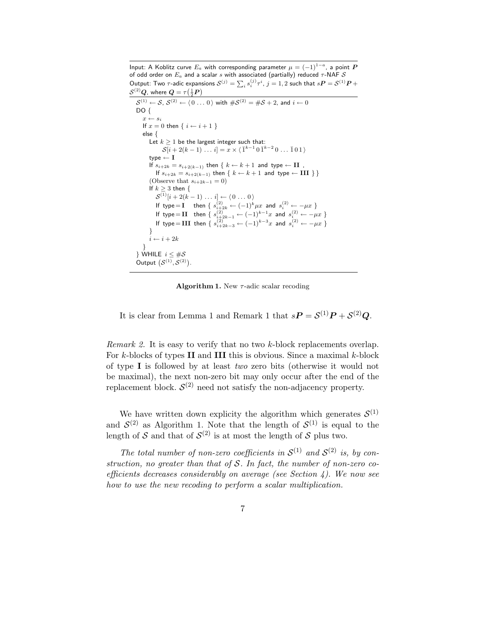Input: A Koblitz curve  $E_a$  with corresponding parameter  $\mu=(-1)^{1-a}$ , a point  $\boldsymbol{P}$ of odd order on  $E_a$  and a scalar s with associated (partially) reduced  $\tau$ -NAF  $\mathcal S$ Output: Two  $\tau$ -adic expansions  ${\cal S}^{(j)}=\sum_i s_i^{(j)}\tau^i$ ,  $j=1,2$  such that  $s\bm{P}={\cal S}^{(1)}\bm{P}+$  $\mathcal{S}^{(2)}\bm{Q},$  where  $\bm{Q}=\tau\big(\frac{1}{2}\bm{P}\big)$ 

```
{\cal S}^{(1)}\leftarrow{\cal S},\,{\cal S}^{(2)}\leftarrow\{0\,\dots\,0\} with \#{\cal S}^{(2)}=\#{\cal S}+2, and i\leftarrow 0DO {
   x \leftarrow s_iIf x = 0 then \{i \leftarrow i + 1\}else {
       Let k > 1 be the largest integer such that:
               S[i + 2(k-1) \dots i] = x \times \langle \bar{1}^{k-1} \, 0 \, \bar{1}^{k-2} \, 0 \dots \bar{1} \, 0 \, 1 \rangletype \leftarrow I
       If s_{i+2k} = s_{i+2(k-1)} then \{k \leftarrow k+1 \text{ and type } \leftarrow \textbf{II},
           If s_{i+2k} = s_{i+2(k-1)} then \{k \leftarrow k+1 \text{ and type } \leftarrow \textbf{III} \}(Observe that s_{i+2k-1} = 0)
       If k \geq 3 then {
            \mathcal{S}^{(1)}[i+2(k-1)\ldots i] \leftarrow \langle 0 \ldots 0 \rangleIf type = I then \{ s_{i+2k}^{(2)} \leftarrow (-1)^k \mu x and s_i^{(2)} \leftarrow -\mu x }
            If type = II then \{ s_{i+2k-1}^{(2)} \leftarrow (-1)^{k-1}x and s_i^{(2)} \leftarrow -\mu x }
            If type = III then \{ s_{i+2k-3}^{(2)} \leftarrow (-1)^{k-3}x and s_i^{(2)} \leftarrow -\mu x }
       }
       i \leftarrow i + 2k}
} WHILE i \leq #\mathcal{S}Output (\mathcal{S}^{(1)}, \mathcal{S}^{(2)}).
```
**Algorithm 1.** New  $\tau$ -adic scalar recoding

It is clear from Lemma 1 and Remark 1 that  $s\boldsymbol{P} = \mathcal{S}^{(1)}\boldsymbol{P} + \mathcal{S}^{(2)}\boldsymbol{Q}$ .

Remark 2. It is easy to verify that no two k-block replacements overlap. For  $k$ -blocks of types II and III this is obvious. Since a maximal  $k$ -block of type I is followed by at least two zero bits (otherwise it would not be maximal), the next non-zero bit may only occur after the end of the replacement block.  $S^{(2)}$  need not satisfy the non-adjacency property.

We have written down explicity the algorithm which generates  $\mathcal{S}^{(1)}$ and  $S^{(2)}$  as Algorithm 1. Note that the length of  $S^{(1)}$  is equal to the length of  $S$  and that of  $S^{(2)}$  is at most the length of  $S$  plus two.

The total number of non-zero coefficients in  $S^{(1)}$  and  $S^{(2)}$  is, by construction, no greater than that of  $S$ . In fact, the number of non-zero coefficients decreases considerably on average (see Section 4). We now see how to use the new recoding to perform a scalar multiplication.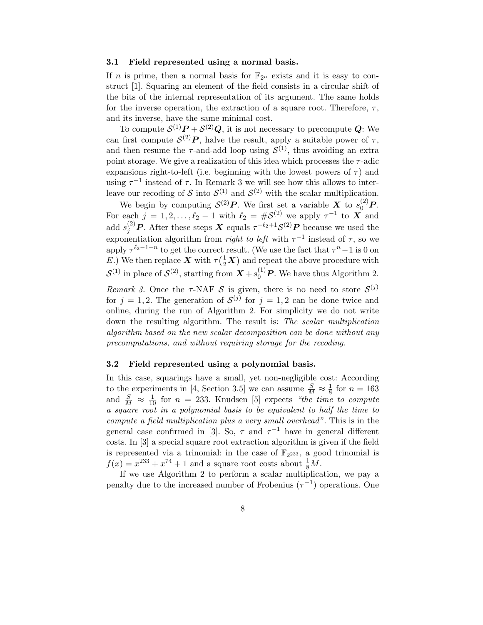#### 3.1 Field represented using a normal basis.

If n is prime, then a normal basis for  $\mathbb{F}_{2^n}$  exists and it is easy to construct [1]. Squaring an element of the field consists in a circular shift of the bits of the internal representation of its argument. The same holds for the inverse operation, the extraction of a square root. Therefore,  $\tau$ , and its inverse, have the same minimal cost.

To compute  $S^{(1)}P + S^{(2)}Q$ , it is not necessary to precompute Q: We can first compute  $\mathcal{S}^{(2)}P$ , halve the result, apply a suitable power of  $\tau$ , and then resume the  $\tau$ -and-add loop using  $\mathcal{S}^{(1)}$ , thus avoiding an extra point storage. We give a realization of this idea which processes the  $\tau$ -adic expansions right-to-left (i.e. beginning with the lowest powers of  $\tau$ ) and using  $\tau^{-1}$  instead of  $\tau$ . In Remark 3 we will see how this allows to interleave our recoding of S into  $\mathcal{S}^{(1)}$  and  $\mathcal{S}^{(2)}$  with the scalar multiplication.

We begin by computing  $S^{(2)}P$ . We first set a variable X to  $s_0^{(2)}P$ . For each  $j = 1, 2, \ldots, \ell_2 - 1$  with  $\ell_2 = \#\mathcal{S}^{(2)}$  we apply  $\tau^{-1}$  to X and add  $s_j^{(2)}$ P. After these steps X equals  $\tau^{-\ell_2+1}S^{(2)}$ P because we used the exponentiation algorithm from *right to left* with  $\tau^{-1}$  instead of  $\tau$ , so we apply  $\tau^{\ell_2-1-n}$  to get the correct result. (We use the fact that  $\tau^n-1$  is 0 on E.) We then replace  $X$  with  $\tau(\frac{1}{2}X)$  and repeat the above procedure with  $S^{(1)}$  in place of  $S^{(2)}$ , starting from  $X + s_0^{(1)}P$ . We have thus Algorithm 2.

Remark 3. Once the  $\tau$ -NAF S is given, there is no need to store  $S^{(j)}$ for  $j = 1, 2$ . The generation of  $S^{(j)}$  for  $j = 1, 2$  can be done twice and online, during the run of Algorithm 2. For simplicity we do not write down the resulting algorithm. The result is: The scalar multiplication algorithm based on the new scalar decomposition can be done without any precomputations, and without requiring storage for the recoding.

#### 3.2 Field represented using a polynomial basis.

In this case, squarings have a small, yet non-negligible cost: According to the experiments in [4, Section 3.5] we can assume  $\frac{S}{M} \approx \frac{1}{8}$  $\frac{1}{8}$  for  $n = 163$ and  $\frac{S}{M} \approx \frac{1}{10}$  for  $n = 233$ . Knudsen [5] expects "the time to compute a square root in a polynomial basis to be equivalent to half the time to compute a field multiplication plus a very small overhead". This is in the general case confirmed in [3]. So,  $\tau$  and  $\tau^{-1}$  have in general different costs. In [3] a special square root extraction algorithm is given if the field is represented via a trinomial: in the case of  $\mathbb{F}_{2^{233}}$ , a good trinomial is  $f(x) = x^{233} + x^{74} + 1$  and a square root costs about  $\frac{1}{8}M$ .

If we use Algorithm 2 to perform a scalar multiplication, we pay a penalty due to the increased number of Frobenius  $(\tau^{-1})$  operations. One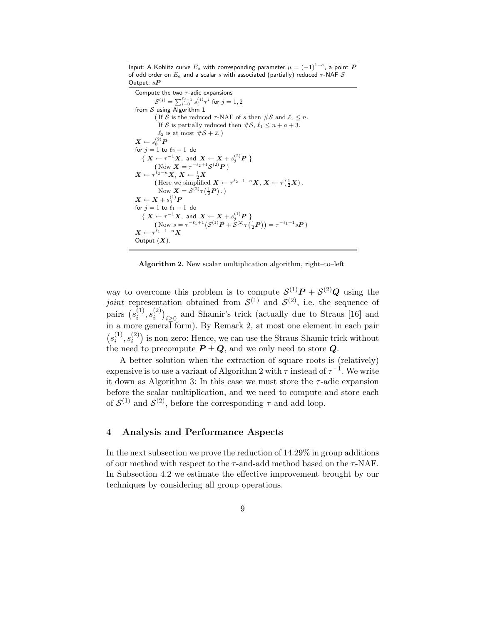Input: A Koblitz curve  $E_a$  with corresponding parameter  $\mu=(-1)^{1-a}$ , a point  $P$ of odd order on  $E_a$  and a scalar s with associated (partially) reduced  $\tau$ -NAF S Output:  $s\boldsymbol{P}$ 

```
Compute the two \tau-adic expansions
               \mathcal{S}^{(j)} = \sum_{i=0}^{\ell_{j-1}} s^{(j)}_i \tau^i for j=1,2from S using Algorithm 1
             ( If S is the reduced \tau-NAF of s then \#\mathcal{S} and \ell_1 \leq n.
                If S is partially reduced then \#\mathcal{S}, \ell_1 \leq n + a + 3.
                \ell_2 is at most \#\mathcal{S} + 2.)
\boldsymbol{X} \leftarrow s_0^{(2)}\boldsymbol{P}for j = 1 to \ell_2 - 1 do
     \Set{X \leftarrow \tau^{-1}X, \text{ and } X \leftarrow X + s_j^{(2)}P}( Now X = \tau^{-\ell_2+1} S^{(2)} P )
\boldsymbol{X} \leftarrow \tau^{\hat{\ell}_2 - n} \boldsymbol{X},~\boldsymbol{X} \leftarrow \frac{1}{2} \boldsymbol{X}(Here we simplified \boldsymbol{X} \leftarrow \tau^{\ell_2-1-n} \boldsymbol{X}, \, \boldsymbol{X} \leftarrow \tau(\frac{1}{2}\boldsymbol{X}).
                 Now \boldsymbol{X} = \mathcal{S}^{(2)} \tau \left( \frac{1}{2} \boldsymbol{P} \right).)
\boldsymbol{X} \leftarrow \boldsymbol{X} + s_0^{(1)}\boldsymbol{P}for j = 1 to \ell_1 - 1 do
     \Set{X \leftarrow \tau^{-1}X, \text{ and } X \leftarrow X + s^{(1)}_j\bm{P}}(Now \ s = \tau^{-\ell_1+1} \left( S^{(1)}P + S^{(2)}\tau \left(\frac{1}{2}P\right) \right) = \tau^{-\ell_1+1}sP)
\boldsymbol{X} \leftarrow \tau^{\hat{\ell}_1 - 1 - n} \boldsymbol{X}Output (X).
```
Algorithm 2. New scalar multiplication algorithm, right–to–left

way to overcome this problem is to compute  $S^{(1)}P + S^{(2)}Q$  using the joint representation obtained from  $\mathcal{S}^{(1)}$  and  $\mathcal{S}^{(2)}$ , i.e. the sequence of pairs  $(s_i^{(1)})$  $\binom{11}{i},s_i^{(2)}$  $\binom{2}{i}_i$ <sub>20</sub> and Shamir's trick (actually due to Straus [16] and in a more general form). By Remark 2, at most one element in each pair  $(s_i^{(1)}$  $\binom{11}{i}, s_i^{(2)}$  $\binom{2}{i}$  is non-zero: Hence, we can use the Straus-Shamir trick without the need to precompute  $P \pm Q$ , and we only need to store Q.

A better solution when the extraction of square roots is (relatively) expensive is to use a variant of Algorithm 2 with  $\tau$  instead of  $\tau^{-1}$ . We write it down as Algorithm 3: In this case we must store the  $\tau$ -adic expansion before the scalar multiplication, and we need to compute and store each of  $S^{(1)}$  and  $S^{(2)}$ , before the corresponding  $\tau$ -and-add loop.

# 4 Analysis and Performance Aspects

In the next subsection we prove the reduction of 14.29% in group additions of our method with respect to the  $\tau$ -and-add method based on the  $\tau$ -NAF. In Subsection 4.2 we estimate the effective improvement brought by our techniques by considering all group operations.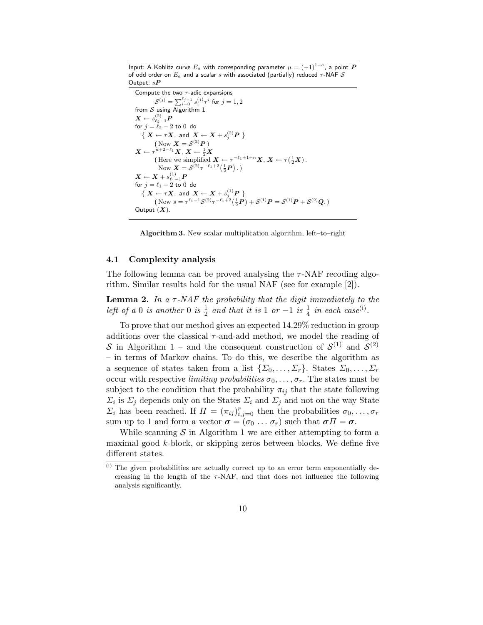Input: A Koblitz curve  $E_a$  with corresponding parameter  $\mu=(-1)^{1-a}$ , a point  $P$ of odd order on  $E_a$  and a scalar s with associated (partially) reduced  $\tau$ -NAF S Output:  $s\boldsymbol{P}$ 

```
Compute the two \tau-adic expansions
               \mathcal{S}^{(j)} = \sum_{i=0}^{\ell_{j-1}} s^{(j)}_i \tau^i for j=1,2from S using Algorithm 1
\boldsymbol{X} \leftarrow s_{\ell_2-1}^{(2)}\boldsymbol{P}for j = \tilde{\ell}_2 - 2 to 0 do
     \Set{X \leftarrow \tau X, \text{ and } X \leftarrow X + s_j^{(2)}P}( Now \boldsymbol{X} = \mathcal{S}^{(2)} \boldsymbol{P} )
\boldsymbol{X} \leftarrow \tau^{n+2-\ell_1} \boldsymbol{X}, \, \boldsymbol{X} \leftarrow \frac{1}{2} \boldsymbol{X}(Here we simplified X \leftarrow \tau^{-\ell_1 + 1 + n} X, X \leftarrow \tau(\frac{1}{2}X).
                  Now \boldsymbol{X} = \mathcal{S}^{(2)} \tau^{-\ell_1+2} \left(\frac{1}{2} \boldsymbol{P}\right).)
\boldsymbol{X} \leftarrow \boldsymbol{X} + s_{\ell_1 - 1}^{(1)} \boldsymbol{P}for j = \ell_1 - 2 to 0 do
     \Set{X \leftarrow \tau X, \text{ and } X \leftarrow X + s_j^{(1)}P}(\text{Now } s = \tau^{\ell_1 - 1} S^{(2)} \tau^{-\ell_1 + 2} (\frac{1}{2}P) + S^{(1)}P = S^{(1)}P + S^{(2)}Q. )Output (X).
```
Algorithm 3. New scalar multiplication algorithm, left–to–right

## 4.1 Complexity analysis

The following lemma can be proved analysing the  $\tau$ -NAF recoding algorithm. Similar results hold for the usual NAF (see for example [2]).

**Lemma 2.** In a  $\tau$ -NAF the probability that the digit immediately to the left of a 0 is another 0 is  $\frac{1}{2}$  and that it is 1 or  $-1$  is  $\frac{1}{4}$  in each case<sup>(i)</sup>.

To prove that our method gives an expected 14.29% reduction in group additions over the classical  $\tau$ -and-add method, we model the reading of S in Algorithm 1 – and the consequent construction of  $S^{(1)}$  and  $S^{(2)}$ – in terms of Markov chains. To do this, we describe the algorithm as a sequence of states taken from a list  $\{\Sigma_0, \ldots, \Sigma_r\}$ . States  $\Sigma_0, \ldots, \Sigma_r$ occur with respective *limiting probabilities*  $\sigma_0, \ldots, \sigma_r$ . The states must be subject to the condition that the probability  $\pi_{ij}$  that the state following  $\Sigma_i$  is  $\Sigma_j$  depends only on the States  $\Sigma_i$  and  $\Sigma_j$  and not on the way State  $\Sigma_i$  has been reached. If  $\Pi = (\pi_{ij})_{i,j=0}^r$  then the probabilities  $\sigma_0, \ldots, \sigma_r$ sum up to 1 and form a vector  $\boldsymbol{\sigma} = (\sigma_0 \dots \sigma_r)$  such that  $\boldsymbol{\sigma} \Pi = \boldsymbol{\sigma}$ .

While scanning  $S$  in Algorithm 1 we are either attempting to form a maximal good  $k$ -block, or skipping zeros between blocks. We define five different states.

<sup>(</sup>i) The given probabilities are actually correct up to an error term exponentially decreasing in the length of the  $\tau$ -NAF, and that does not influence the following analysis significantly.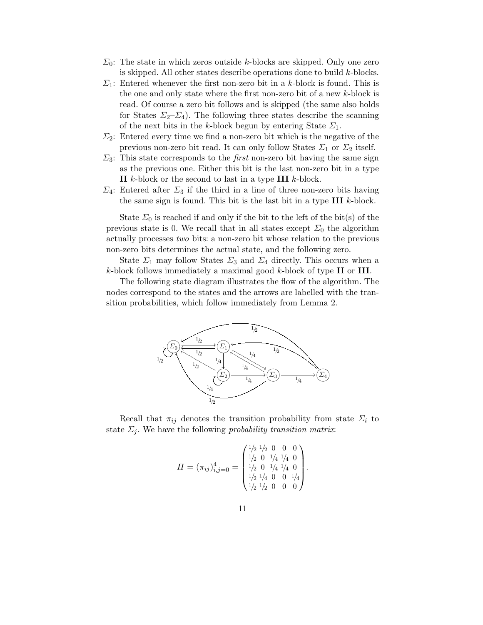- $\Sigma_0$ : The state in which zeros outside k-blocks are skipped. Only one zero is skipped. All other states describe operations done to build  $k$ -blocks.
- $\Sigma_1$ : Entered whenever the first non-zero bit in a k-block is found. This is the one and only state where the first non-zero bit of a new k-block is read. Of course a zero bit follows and is skipped (the same also holds for States  $\Sigma_2-\Sigma_4$ ). The following three states describe the scanning of the next bits in the k-block begun by entering State  $\Sigma_1$ .
- $\Sigma_2$ : Entered every time we find a non-zero bit which is the negative of the previous non-zero bit read. It can only follow States  $\Sigma_1$  or  $\Sigma_2$  itself.
- $\Sigma_3$ : This state corresponds to the *first* non-zero bit having the same sign as the previous one. Either this bit is the last non-zero bit in a type II  $k$ -block or the second to last in a type III  $k$ -block.
- $\Sigma_4$ : Entered after  $\Sigma_3$  if the third in a line of three non-zero bits having the same sign is found. This bit is the last bit in a type  $III$  k-block.

State  $\Sigma_0$  is reached if and only if the bit to the left of the bit(s) of the previous state is 0. We recall that in all states except  $\Sigma_0$  the algorithm actually processes two bits: a non-zero bit whose relation to the previous non-zero bits determines the actual state, and the following zero.

State  $\Sigma_1$  may follow States  $\Sigma_3$  and  $\Sigma_4$  directly. This occurs when a  $k$ -block follows immediately a maximal good  $k$ -block of type II or III.

The following state diagram illustrates the flow of the algorithm. The nodes correspond to the states and the arrows are labelled with the transition probabilities, which follow immediately from Lemma 2.



Recall that  $\pi_{ij}$  denotes the transition probability from state  $\Sigma_i$  to state  $\Sigma_i$ . We have the following probability transition matrix:

$$
\Pi = (\pi_{ij})_{i,j=0}^4 = \begin{pmatrix} 1/2 & 1/2 & 0 & 0 & 0 \\ 1/2 & 0 & 1/4 & 1/4 & 0 \\ 1/2 & 0 & 1/4 & 1/4 & 0 \\ 1/2 & 1/4 & 0 & 0 & 1/4 \\ 1/2 & 1/2 & 0 & 0 & 0 \end{pmatrix}.
$$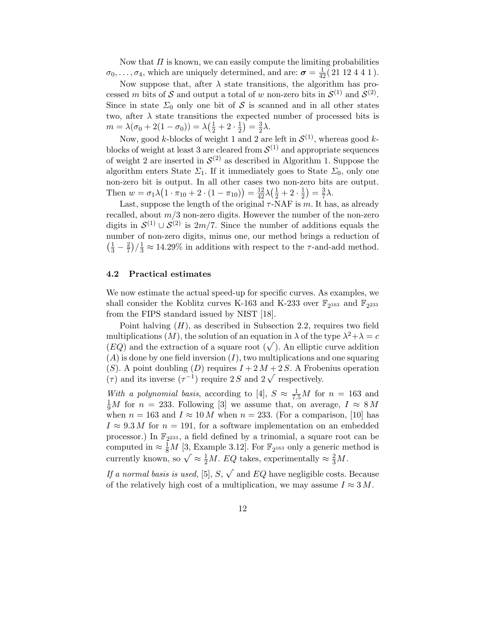Now that  $\Pi$  is known, we can easily compute the limiting probabilities  $\sigma_0, \ldots, \sigma_4$ , which are uniquely determined, and are:  $\sigma = \frac{1}{42}(2112441)$ .

Now suppose that, after  $\lambda$  state transitions, the algorithm has processed m bits of S and output a total of w non-zero bits in  $S^{(1)}$  and  $S^{(2)}$ . Since in state  $\Sigma_0$  only one bit of S is scanned and in all other states two, after  $\lambda$  state transitions the expected number of processed bits is  $m = \lambda(\sigma_0 + 2(1 - \sigma_0)) = \lambda(\frac{1}{2} + 2 \cdot \frac{1}{2})$  $(\frac{1}{2}) = \frac{3}{2}$  $\frac{3}{2}\lambda$ .

Now, good k-blocks of weight 1 and 2 are left in  $\mathcal{S}^{(1)}$ , whereas good kblocks of weight at least 3 are cleared from  $\mathcal{S}^{(1)}$  and appropriate sequences of weight 2 are inserted in  $\mathcal{S}^{(2)}$  as described in Algorithm 1. Suppose the algorithm enters State  $\Sigma_1$ . If it immediately goes to State  $\Sigma_0$ , only one non-zero bit is output. In all other cases two non-zero bits are output. Then  $w = \sigma_1 \lambda \left(1 \cdot \pi_{10} + 2 \cdot (1 - \pi_{10})\right) = \frac{12}{42} \lambda \left(\frac{1}{2} + 2 \cdot \frac{1}{2}\right)$  $(\frac{1}{2}) = \frac{3}{7}$  $\frac{3}{7}\lambda$ .

Last, suppose the length of the original  $\tau$ -NAF is m. It has, as already recalled, about  $m/3$  non-zero digits. However the number of the non-zero digits in  $S^{(1)} \cup S^{(2)}$  is  $2m/7$ . Since the number of additions equals the number of non-zero digits, minus one, our method brings a reduction of  $\left(\frac{1}{3} - \frac{2}{7}\right)$  $\frac{2}{7}$ / $\frac{1}{3}$   $\approx$  14.29% in additions with respect to the  $\tau$ -and-add method.

#### 4.2 Practical estimates

We now estimate the actual speed-up for specific curves. As examples, we shall consider the Koblitz curves K-163 and K-233 over  $\mathbb{F}_{2^{163}}$  and  $\mathbb{F}_{2^{233}}$ from the FIPS standard issued by NIST [18].

Point halving  $(H)$ , as described in Subsection 2.2, requires two field multiplications  $(M)$ , the solution of an equation in  $\lambda$  of the type  $\lambda^2 + \lambda = c$  $(EQ)$  and the extraction of a square root  $(\sqrt{\ } )$ . An elliptic curve addition  $(A)$  is done by one field inversion  $(I)$ , two multiplications and one squaring (S). A point doubling (D) requires  $I + 2M + 2S$ . A Frobenius operation (τ) and its inverse  $(\tau^{-1})$  require 2 S and  $2\sqrt{\ }$  respectively.

With a polynomial basis, according to [4],  $S \approx \frac{1}{7.5}M$  for  $n = 163$  and  $\frac{1}{9}M$  for  $n = 233$ . Following [3] we assume that, on average,  $I \approx 8 M$ when  $n = 163$  and  $I \approx 10 M$  when  $n = 233$ . (For a comparison, [10] has  $I \approx 9.3 M$  for  $n = 191$ , for a software implementation on an embedded processor.) In  $\mathbb{F}_{2^{233}}$ , a field defined by a trinomial, a square root can be computed in  $\approx \frac{1}{8}M$  [3, Example 3.12]. For  $\mathbb{F}_{2^{163}}$  only a generic method is currently known, so  $\sqrt{\approx \frac{1}{2}M}$ . EQ takes, experimentally  $\approx \frac{2}{3}M$ .

If a normal basis is used, [5], S,  $\sqrt{\ }$  and EQ have negligible costs. Because of the relatively high cost of a multiplication, we may assume  $I \approx 3 M$ .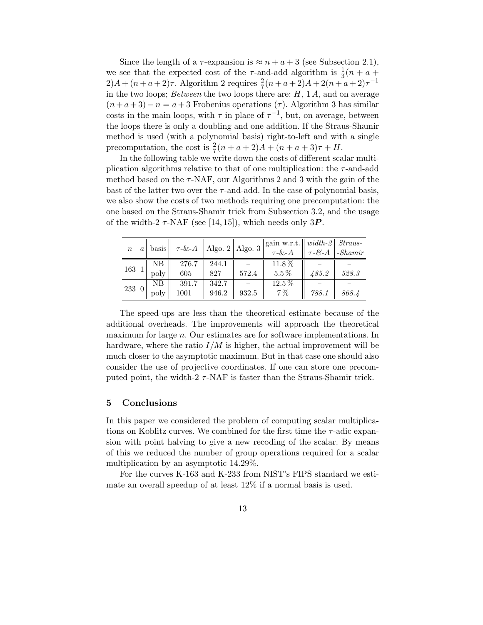Since the length of a  $\tau$ -expansion is  $\approx n + a + 3$  (see Subsection 2.1), we see that the expected cost of the  $\tau$ -and-add algorithm is  $\frac{1}{3}(n + a +$  $2)A + (n+a+2)\tau$ . Algorithm 2 requires  $\frac{2}{7}(n+a+2)A + 2(n+a+2)\tau^{-1}$ in the two loops; *Between* the two loops there are:  $H$ , 1 A, and on average  $(n+a+3)-n=a+3$  Frobenius operations  $(\tau)$ . Algorithm 3 has similar costs in the main loops, with  $\tau$  in place of  $\tau^{-1}$ , but, on average, between the loops there is only a doubling and one addition. If the Straus-Shamir method is used (with a polynomial basis) right-to-left and with a single precomputation, the cost is  $\frac{2}{7}(n+a+2)A + (n+a+3)\tau + H$ .

In the following table we write down the costs of different scalar multiplication algorithms relative to that of one multiplication: the  $\tau$ -and-add method based on the  $\tau$ -NAF, our Algorithms 2 and 3 with the gain of the bast of the latter two over the  $\tau$ -and-add. In the case of polynomial basis, we also show the costs of two methods requiring one precomputation: the one based on the Straus-Shamir trick from Subsection 3.2, and the usage of the width-2  $\tau$ -NAF (see [14, 15]), which needs only 3P.

| $\boldsymbol{n}$ |    | a    basis    $\tau$ -&-A   Algo. 2   Algo. 3 |                |       | gain w.r.t. $\parallel width-2 \parallel Straus-$<br>$\tau$ -&-A |       | $\tau$ -&-A -Shamir |
|------------------|----|-----------------------------------------------|----------------|-------|------------------------------------------------------------------|-------|---------------------|
| $163\,$ $1$      | NB | 276.7<br>605                                  | 244.1<br>827   | 572.4 | 11.8%<br>$5.5\,\%$                                               | 485.2 | 528.3               |
| 233 0            | NB | 391.7<br>1001                                 | 342.7<br>946.2 | 932.5 | 12.5%<br>$7\%$                                                   | 788.1 | 868.4               |

The speed-ups are less than the theoretical estimate because of the additional overheads. The improvements will approach the theoretical maximum for large n. Our estimates are for software implementations. In hardware, where the ratio  $I/M$  is higher, the actual improvement will be much closer to the asymptotic maximum. But in that case one should also consider the use of projective coordinates. If one can store one precomputed point, the width-2  $\tau$ -NAF is faster than the Straus-Shamir trick.

## 5 Conclusions

In this paper we considered the problem of computing scalar multiplications on Koblitz curves. We combined for the first time the  $\tau$ -adic expansion with point halving to give a new recoding of the scalar. By means of this we reduced the number of group operations required for a scalar multiplication by an asymptotic 14.29%.

For the curves K-163 and K-233 from NIST's FIPS standard we estimate an overall speedup of at least 12% if a normal basis is used.